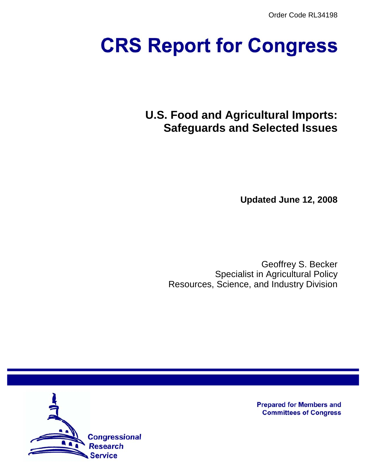Order Code RL34198

# **CRS Report for Congress**

**U.S. Food and Agricultural Imports: Safeguards and Selected Issues**

**Updated June 12, 2008**

Geoffrey S. Becker Specialist in Agricultural Policy Resources, Science, and Industry Division



**Prepared for Members and Committees of Congress**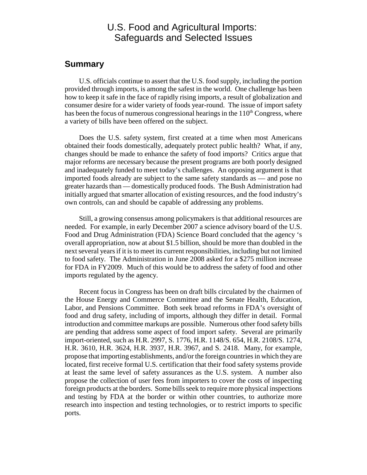# U.S. Food and Agricultural Imports: Safeguards and Selected Issues

#### **Summary**

U.S. officials continue to assert that the U.S. food supply, including the portion provided through imports, is among the safest in the world. One challenge has been how to keep it safe in the face of rapidly rising imports, a result of globalization and consumer desire for a wider variety of foods year-round. The issue of import safety has been the focus of numerous congressional hearings in the  $110<sup>th</sup>$  Congress, where a variety of bills have been offered on the subject.

Does the U.S. safety system, first created at a time when most Americans obtained their foods domestically, adequately protect public health? What, if any, changes should be made to enhance the safety of food imports? Critics argue that major reforms are necessary because the present programs are both poorly designed and inadequately funded to meet today's challenges. An opposing argument is that imported foods already are subject to the same safety standards as — and pose no greater hazards than — domestically produced foods. The Bush Administration had initially argued that smarter allocation of existing resources, and the food industry's own controls, can and should be capable of addressing any problems.

Still, a growing consensus among policymakers is that additional resources are needed. For example, in early December 2007 a science advisory board of the U.S. Food and Drug Administration (FDA) Science Board concluded that the agency 's overall appropriation, now at about \$1.5 billion, should be more than doubled in the next several years if it is to meet its current responsibilities, including but not limited to food safety. The Administration in June 2008 asked for a \$275 million increase for FDA in FY2009. Much of this would be to address the safety of food and other imports regulated by the agency.

Recent focus in Congress has been on draft bills circulated by the chairmen of the House Energy and Commerce Committee and the Senate Health, Education, Labor, and Pensions Committee. Both seek broad reforms in FDA's oversight of food and drug safety, including of imports, although they differ in detail. Formal introduction and committee markups are possible. Numerous other food safety bills are pending that address some aspect of food import safety. Several are primarily import-oriented, such as H.R. 2997, S. 1776, H.R. 1148/S. 654, H.R. 2108/S. 1274, H.R. 3610, H.R. 3624, H.R. 3937, H.R. 3967, and S. 2418. Many, for example, propose that importing establishments, and/or the foreign countries in which they are located, first receive formal U.S. certification that their food safety systems provide at least the same level of safety assurances as the U.S. system. A number also propose the collection of user fees from importers to cover the costs of inspecting foreign products at the borders. Some bills seek to require more physical inspections and testing by FDA at the border or within other countries, to authorize more research into inspection and testing technologies, or to restrict imports to specific ports.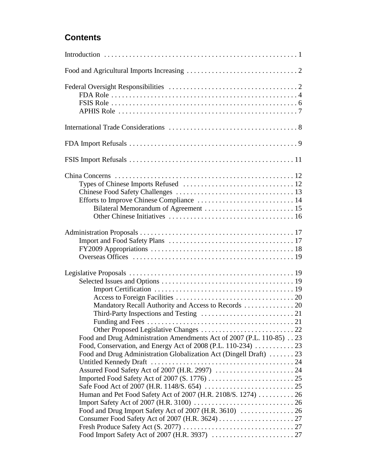# **Contents**

| Food and Drug Administration Amendments Act of 2007 (P.L. 110-85) 23<br>Food, Conservation, and Energy Act of 2008 (P.L. 110-234) $\dots \dots \dots \dots$ 23<br>Food and Drug Administration Globalization Act (Dingell Draft) 23<br>Human and Pet Food Safety Act of 2007 (H.R. 2108/S. 1274) 26<br>Import Safety Act of 2007 (H.R. 3100) $\dots\dots\dots\dots\dots\dots\dots\dots\dots\dots$ |  |
|---------------------------------------------------------------------------------------------------------------------------------------------------------------------------------------------------------------------------------------------------------------------------------------------------------------------------------------------------------------------------------------------------|--|
|                                                                                                                                                                                                                                                                                                                                                                                                   |  |
|                                                                                                                                                                                                                                                                                                                                                                                                   |  |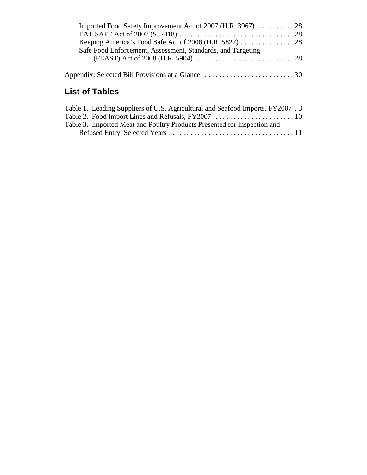| Imported Food Safety Improvement Act of 2007 (H.R. 3967)  28 |  |
|--------------------------------------------------------------|--|
|                                                              |  |
| Keeping America's Food Safe Act of 2008 (H.R. 5827) 28       |  |
| Safe Food Enforcement, Assessment, Standards, and Targeting  |  |
|                                                              |  |

# **List of Tables**

| Table 1. Leading Suppliers of U.S. Agricultural and Seafood Imports, FY2007.3 |  |
|-------------------------------------------------------------------------------|--|
|                                                                               |  |
| Table 3. Imported Meat and Poultry Products Presented for Inspection and      |  |
|                                                                               |  |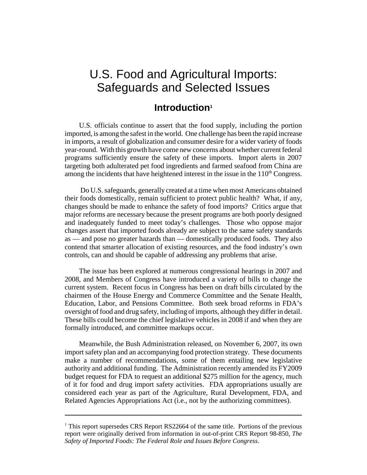# U.S. Food and Agricultural Imports: Safeguards and Selected Issues

# **Introduction1**

U.S. officials continue to assert that the food supply, including the portion imported, is among the safest in the world. One challenge has been the rapid increase in imports, a result of globalization and consumer desire for a wider variety of foods year-round. With this growth have come new concerns about whether current federal programs sufficiently ensure the safety of these imports. Import alerts in 2007 targeting both adulterated pet food ingredients and farmed seafood from China are among the incidents that have heightened interest in the issue in the  $110<sup>th</sup>$  Congress.

 Do U.S. safeguards, generally created at a time when most Americans obtained their foods domestically, remain sufficient to protect public health? What, if any, changes should be made to enhance the safety of food imports? Critics argue that major reforms are necessary because the present programs are both poorly designed and inadequately funded to meet today's challenges. Those who oppose major changes assert that imported foods already are subject to the same safety standards as — and pose no greater hazards than — domestically produced foods. They also contend that smarter allocation of existing resources, and the food industry's own controls, can and should be capable of addressing any problems that arise.

The issue has been explored at numerous congressional hearings in 2007 and 2008, and Members of Congress have introduced a variety of bills to change the current system. Recent focus in Congress has been on draft bills circulated by the chairmen of the House Energy and Commerce Committee and the Senate Health, Education, Labor, and Pensions Committee. Both seek broad reforms in FDA's oversight of food and drug safety, including of imports, although they differ in detail. These bills could become the chief legislative vehicles in 2008 if and when they are formally introduced, and committee markups occur.

 Meanwhile, the Bush Administration released, on November 6, 2007, its own import safety plan and an accompanying food protection strategy. These documents make a number of recommendations, some of them entailing new legislative authority and additional funding. The Administration recently amended its FY2009 budget request for FDA to request an additional \$275 million for the agency, much of it for food and drug import safety activities. FDA appropriations usually are considered each year as part of the Agriculture, Rural Development, FDA, and Related Agencies Appropriations Act (i.e., not by the authorizing committees).

<sup>&</sup>lt;sup>1</sup> This report supersedes CRS Report RS22664 of the same title. Portions of the previous report were originally derived from information in out-of-print CRS Report 98-850, *The Safety of Imported Foods: The Federal Role and Issues Before Congress*.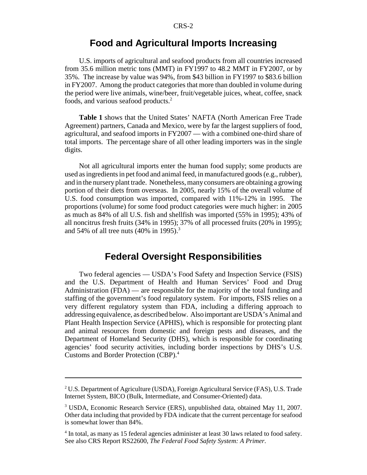# **Food and Agricultural Imports Increasing**

U.S. imports of agricultural and seafood products from all countries increased from 35.6 million metric tons (MMT) in FY1997 to 48.2 MMT in FY2007, or by 35%. The increase by value was 94%, from \$43 billion in FY1997 to \$83.6 billion in FY2007. Among the product categories that more than doubled in volume during the period were live animals, wine/beer, fruit/vegetable juices, wheat, coffee, snack foods, and various seafood products.2

**Table 1** shows that the United States' NAFTA (North American Free Trade Agreement) partners, Canada and Mexico, were by far the largest suppliers of food, agricultural, and seafood imports in FY2007 — with a combined one-third share of total imports. The percentage share of all other leading importers was in the single digits.

Not all agricultural imports enter the human food supply; some products are used as ingredients in pet food and animal feed, in manufactured goods (e.g., rubber), and in the nursery plant trade. Nonetheless, many consumers are obtaining a growing portion of their diets from overseas. In 2005, nearly 15% of the overall volume of U.S. food consumption was imported, compared with 11%-12% in 1995. The proportions (volume) for some food product categories were much higher: in 2005 as much as 84% of all U.S. fish and shellfish was imported (55% in 1995); 43% of all noncitrus fresh fruits (34% in 1995); 37% of all processed fruits (20% in 1995); and 54% of all tree nuts  $(40\% \text{ in } 1995).$ <sup>3</sup>

# **Federal Oversight Responsibilities**

Two federal agencies — USDA's Food Safety and Inspection Service (FSIS) and the U.S. Department of Health and Human Services' Food and Drug Administration (FDA) — are responsible for the majority of the total funding and staffing of the government's food regulatory system. For imports, FSIS relies on a very different regulatory system than FDA, including a differing approach to addressing equivalence, as described below. Also important are USDA's Animal and Plant Health Inspection Service (APHIS), which is responsible for protecting plant and animal resources from domestic and foreign pests and diseases, and the Department of Homeland Security (DHS), which is responsible for coordinating agencies' food security activities, including border inspections by DHS's U.S. Customs and Border Protection (CBP).<sup>4</sup>

<sup>&</sup>lt;sup>2</sup> U.S. Department of Agriculture (USDA), Foreign Agricultural Service (FAS), U.S. Trade Internet System, BICO (Bulk, Intermediate, and Consumer-Oriented) data.

<sup>&</sup>lt;sup>3</sup> USDA, Economic Research Service (ERS), unpublished data, obtained May 11, 2007. Other data including that provided by FDA indicate that the current percentage for seafood is somewhat lower than 84%.

<sup>&</sup>lt;sup>4</sup> In total, as many as 15 federal agencies administer at least 30 laws related to food safety. See also CRS Report RS22600, *The Federal Food Safety System: A Primer*.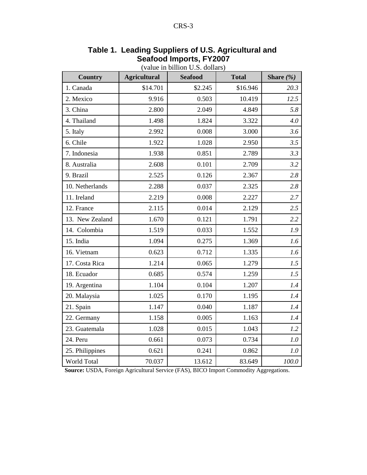| <b>Country</b>  | <b>Agricultural</b> | <b>Seafood</b> | <b>Total</b> | Share $(\% )$ |
|-----------------|---------------------|----------------|--------------|---------------|
| 1. Canada       | \$14.701            | \$2.245        | \$16.946     | 20.3          |
| 2. Mexico       | 9.916               | 0.503          | 10.419       | 12.5          |
| 3. China        | 2.800               | 2.049          | 4.849        | 5.8           |
| 4. Thailand     | 1.498               | 1.824          | 3.322        | 4.0           |
| 5. Italy        | 2.992               | 0.008          | 3.000        | 3.6           |
| 6. Chile        | 1.922               | 1.028          | 2.950        | 3.5           |
| 7. Indonesia    | 1.938               | 0.851          | 2.789        | 3.3           |
| 8. Australia    | 2.608               | 0.101          | 2.709        | 3.2           |
| 9. Brazil       | 2.525               | 0.126          | 2.367        | 2.8           |
| 10. Netherlands | 2.288               | 0.037          | 2.325        | 2.8           |
| 11. Ireland     | 2.219               | 0.008          | 2.227        | 2.7           |
| 12. France      | 2.115               | 0.014          | 2.129        | 2.5           |
| 13. New Zealand | 1.670               | 0.121          | 1.791        | 2.2           |
| 14. Colombia    | 1.519               | 0.033          | 1.552        | 1.9           |
| 15. India       | 1.094               | 0.275          | 1.369        | 1.6           |
| 16. Vietnam     | 0.623               | 0.712          | 1.335        | 1.6           |
| 17. Costa Rica  | 1.214               | 0.065          | 1.279        | 1.5           |
| 18. Ecuador     | 0.685               | 0.574          | 1.259        | 1.5           |
| 19. Argentina   | 1.104               | 0.104          | 1.207        | 1.4           |
| 20. Malaysia    | 1.025               | 0.170          | 1.195        | 1.4           |
| 21. Spain       | 1.147               | 0.040          | 1.187        | 1.4           |
| 22. Germany     | 1.158               | 0.005          | 1.163        | 1.4           |
| 23. Guatemala   | 1.028               | 0.015          | 1.043        | 1.2           |
| 24. Peru        | 0.661               | 0.073          | 0.734        | 1.0           |
| 25. Philippines | 0.621               | 0.241          | 0.862        | 1.0           |
| World Total     | 70.037              | 13.612         | 83.649       | 100.0         |

# **Table 1. Leading Suppliers of U.S. Agricultural and Seafood Imports, FY2007**

**Source:** USDA, Foreign Agricultural Service (FAS), BICO Import Commodity Aggregations.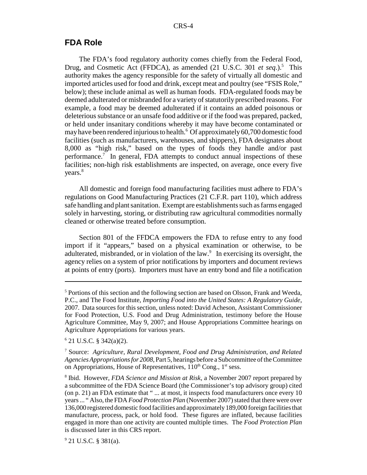#### **FDA Role**

The FDA's food regulatory authority comes chiefly from the Federal Food, Drug, and Cosmetic Act (FFDCA), as amended (21 U.S.C. 301 *et seq.*).<sup>5</sup> This authority makes the agency responsible for the safety of virtually all domestic and imported articles used for food and drink, except meat and poultry (see "FSIS Role," below); these include animal as well as human foods. FDA-regulated foods may be deemed adulterated or misbranded for a variety of statutorily prescribed reasons. For example, a food may be deemed adulterated if it contains an added poisonous or deleterious substance or an unsafe food additive or if the food was prepared, packed, or held under insanitary conditions whereby it may have become contaminated or may have been rendered injurious to health.<sup>6</sup> Of approximately 60,700 domestic food facilities (such as manufacturers, warehouses, and shippers), FDA designates about 8,000 as "high risk," based on the types of foods they handle and/or past performance.<sup>7</sup> In general, FDA attempts to conduct annual inspections of these facilities; non-high risk establishments are inspected, on average, once every five years.<sup>8</sup>

All domestic and foreign food manufacturing facilities must adhere to FDA's regulations on Good Manufacturing Practices (21 C.F.R. part 110), which address safe handling and plant sanitation. Exempt are establishments such as farms engaged solely in harvesting, storing, or distributing raw agricultural commodities normally cleaned or otherwise treated before consumption.

Section 801 of the FFDCA empowers the FDA to refuse entry to any food import if it "appears," based on a physical examination or otherwise, to be adulterated, misbranded, or in violation of the law.<sup>9</sup> In exercising its oversight, the agency relies on a system of prior notifications by importers and document reviews at points of entry (ports). Importers must have an entry bond and file a notification

6 21 U.S.C. § 342(a)(2).

7 Source: *Agriculture, Rural Development, Food and Drug Administration, and Related Agencies Appropriations for 2008*, Part 5, hearings before a Subcommittee of the Committee on Appropriations, House of Representatives,  $110^{th}$  Cong.,  $1^{st}$  sess.

8 Ibid. However, *FDA Science and Mission at Risk*, a November 2007 report prepared by a subcommittee of the FDA Science Board (the Commissioner's top advisory group) cited (on p. 21) an FDA estimate that " ... at most, it inspects food manufacturers once every 10 years ... " Also, the FDA *Food Protection Plan* (November 2007) stated that there were over 136,000 registered domestic food facilities and approximately 189,000 foreign facilities that manufacture, process, pack, or hold food. These figures are inflated, because facilities engaged in more than one activity are counted multiple times. The *Food Protection Plan* is discussed later in this CRS report.

 $9$  21 U.S.C. § 381(a).

<sup>&</sup>lt;sup>5</sup> Portions of this section and the following section are based on Olsson, Frank and Weeda, P.C., and The Food Institute, *Importing Food into the United States: A Regulatory Guide*, 2007. Data sources for this section, unless noted: David Acheson, Assistant Commissioner for Food Protection, U.S. Food and Drug Administration, testimony before the House Agriculture Committee, May 9, 2007; and House Appropriations Committee hearings on Agriculture Appropriations for various years.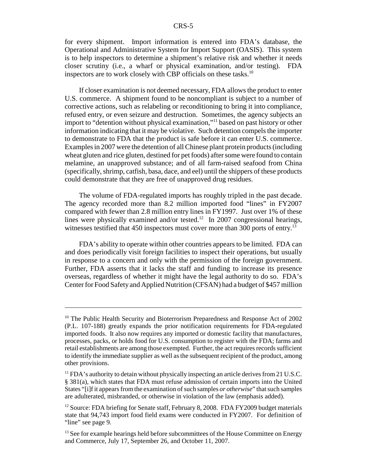for every shipment. Import information is entered into FDA's database, the Operational and Administrative System for Import Support (OASIS). This system is to help inspectors to determine a shipment's relative risk and whether it needs closer scrutiny (i.e., a wharf or physical examination, and/or testing). FDA inspectors are to work closely with CBP officials on these tasks.<sup>10</sup>

If closer examination is not deemed necessary, FDA allows the product to enter U.S. commerce. A shipment found to be noncompliant is subject to a number of corrective actions, such as relabeling or reconditioning to bring it into compliance, refused entry, or even seizure and destruction. Sometimes, the agency subjects an import to "detention without physical examination,"11 based on past history or other information indicating that it may be violative. Such detention compels the importer to demonstrate to FDA that the product is safe before it can enter U.S. commerce. Examples in 2007 were the detention of all Chinese plant protein products (including wheat gluten and rice gluten, destined for pet foods) after some were found to contain melamine, an unapproved substance; and of all farm-raised seafood from China (specifically, shrimp, catfish, basa, dace, and eel) until the shippers of these products could demonstrate that they are free of unapproved drug residues.

The volume of FDA-regulated imports has roughly tripled in the past decade. The agency recorded more than 8.2 million imported food "lines" in FY2007 compared with fewer than 2.8 million entry lines in FY1997. Just over 1% of these lines were physically examined and/or tested.<sup>12</sup> In 2007 congressional hearings, witnesses testified that  $450$  inspectors must cover more than 300 ports of entry.<sup>13</sup>

FDA's ability to operate within other countries appears to be limited. FDA can and does periodically visit foreign facilities to inspect their operations, but usually in response to a concern and only with the permission of the foreign government. Further, FDA asserts that it lacks the staff and funding to increase its presence overseas, regardless of whether it might have the legal authority to do so. FDA's Center for Food Safety and Applied Nutrition (CFSAN) had a budget of \$457 million

<sup>&</sup>lt;sup>10</sup> The Public Health Security and Bioterrorism Preparedness and Response Act of 2002 (P.L. 107-188) greatly expands the prior notification requirements for FDA-regulated imported foods. It also now requires any imported or domestic facility that manufactures, processes, packs, or holds food for U.S. consumption to register with the FDA; farms and retail establishments are among those exempted. Further, the act requires records sufficient to identify the immediate supplier as well as the subsequent recipient of the product, among other provisions.

<sup>&</sup>lt;sup>11</sup> FDA's authority to detain without physically inspecting an article derives from 21 U.S.C. § 381(a), which states that FDA must refuse admission of certain imports into the United States "[i]f it appears from the examination of such samples *or otherwise*" that such samples are adulterated, misbranded, or otherwise in violation of the law (emphasis added).

<sup>&</sup>lt;sup>12</sup> Source: FDA briefing for Senate staff, February 8, 2008. FDA FY2009 budget materials state that 94,743 import food field exams were conducted in FY2007. For definition of "line" see page 9.

 $13$  See for example hearings held before subcommittees of the House Committee on Energy and Commerce, July 17, September 26, and October 11, 2007.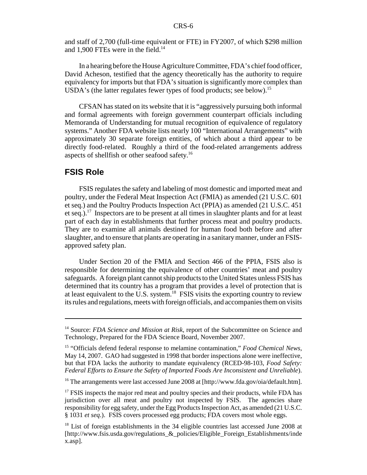and staff of 2,700 (full-time equivalent or FTE) in FY2007, of which \$298 million and 1,900 FTEs were in the field. $14$ 

In a hearing before the House Agriculture Committee, FDA's chief food officer, David Acheson, testified that the agency theoretically has the authority to require equivalency for imports but that FDA's situation is significantly more complex than USDA's (the latter regulates fewer types of food products; see below).<sup>15</sup>

CFSAN has stated on its website that it is "aggressively pursuing both informal and formal agreements with foreign government counterpart officials including Memoranda of Understanding for mutual recognition of equivalence of regulatory systems." Another FDA website lists nearly 100 "International Arrangements" with approximately 30 separate foreign entities, of which about a third appear to be directly food-related. Roughly a third of the food-related arrangements address aspects of shellfish or other seafood safety.16

#### **FSIS Role**

FSIS regulates the safety and labeling of most domestic and imported meat and poultry, under the Federal Meat Inspection Act (FMIA) as amended (21 U.S.C. 601 et seq.) and the Poultry Products Inspection Act (PPIA) as amended (21 U.S.C. 451 et seq.).<sup>17</sup> Inspectors are to be present at all times in slaughter plants and for at least part of each day in establishments that further process meat and poultry products. They are to examine all animals destined for human food both before and after slaughter, and to ensure that plants are operating in a sanitary manner, under an FSISapproved safety plan.

Under Section 20 of the FMIA and Section 466 of the PPIA, FSIS also is responsible for determining the equivalence of other countries' meat and poultry safeguards. A foreign plant cannot ship products to the United States unless FSIS has determined that its country has a program that provides a level of protection that is at least equivalent to the U.S. system.18 FSIS visits the exporting country to review its rules and regulations, meets with foreign officials, and accompanies them on visits

<sup>&</sup>lt;sup>14</sup> Source: *FDA Science and Mission at Risk*, report of the Subcommittee on Science and Technology, Prepared for the FDA Science Board, November 2007.

<sup>15 &</sup>quot;Officials defend federal response to melamine contamination," *Food Chemical News*, May 14, 2007. GAO had suggested in 1998 that border inspections alone were ineffective, but that FDA lacks the authority to mandate equivalency (RCED-98-103, *Food Safety: Federal Efforts to Ensure the Safety of Imported Foods Are Inconsistent and Unreliable*).

<sup>&</sup>lt;sup>16</sup> The arrangements were last accessed June 2008 at [http://www.fda.gov/oia/default.htm].

 $17$  FSIS inspects the major red meat and poultry species and their products, while FDA has jurisdiction over all meat and poultry not inspected by FSIS. The agencies share responsibility for egg safety, under the Egg Products Inspection Act, as amended (21 U.S.C. § 1031 *et seq*.). FSIS covers processed egg products; FDA covers most whole eggs.

<sup>&</sup>lt;sup>18</sup> List of foreign establishments in the 34 eligible countries last accessed June 2008 at [http://www.fsis.usda.gov/regulations\_&\_policies/Eligible\_Foreign\_Establishments/inde x.asp].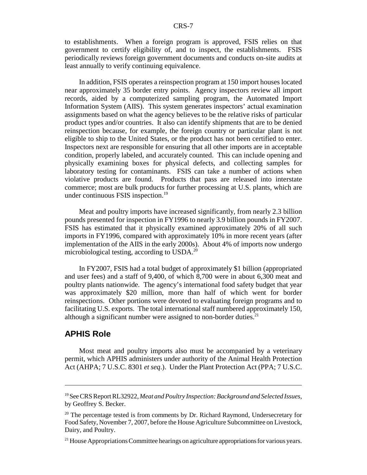to establishments. When a foreign program is approved, FSIS relies on that government to certify eligibility of, and to inspect, the establishments. FSIS periodically reviews foreign government documents and conducts on-site audits at least annually to verify continuing equivalence.

In addition, FSIS operates a reinspection program at 150 import houses located near approximately 35 border entry points. Agency inspectors review all import records, aided by a computerized sampling program, the Automated Import Information System (AIIS). This system generates inspectors' actual examination assignments based on what the agency believes to be the relative risks of particular product types and/or countries. It also can identify shipments that are to be denied reinspection because, for example, the foreign country or particular plant is not eligible to ship to the United States, or the product has not been certified to enter. Inspectors next are responsible for ensuring that all other imports are in acceptable condition, properly labeled, and accurately counted. This can include opening and physically examining boxes for physical defects, and collecting samples for laboratory testing for contaminants. FSIS can take a number of actions when violative products are found. Products that pass are released into interstate commerce; most are bulk products for further processing at U.S. plants, which are under continuous FSIS inspection.19

Meat and poultry imports have increased significantly, from nearly 2.3 billion pounds presented for inspection in FY1996 to nearly 3.9 billion pounds in FY2007. FSIS has estimated that it physically examined approximately 20% of all such imports in FY1996, compared with approximately 10% in more recent years (after implementation of the AIIS in the early 2000s). About 4% of imports now undergo microbiological testing, according to USDA.<sup>20</sup>

In FY2007, FSIS had a total budget of approximately \$1 billion (appropriated and user fees) and a staff of 9,400, of which 8,700 were in about 6,300 meat and poultry plants nationwide. The agency's international food safety budget that year was approximately \$20 million, more than half of which went for border reinspections. Other portions were devoted to evaluating foreign programs and to facilitating U.S. exports. The total international staff numbered approximately 150, although a significant number were assigned to non-border duties.<sup>21</sup>

#### **APHIS Role**

Most meat and poultry imports also must be accompanied by a veterinary permit, which APHIS administers under authority of the Animal Health Protection Act (AHPA; 7 U.S.C. 8301 *et seq*.). Under the Plant Protection Act (PPA; 7 U.S.C.

<sup>19</sup> See CRS Report RL32922, *Meat and Poultry Inspection: Background and Selected Issues*, by Geoffrey S. Becker.

<sup>&</sup>lt;sup>20</sup> The percentage tested is from comments by Dr. Richard Raymond, Undersecretary for Food Safety, November 7, 2007, before the House Agriculture Subcommittee on Livestock, Dairy, and Poultry.

 $21$  House Appropriations Committee hearings on agriculture appropriations for various years.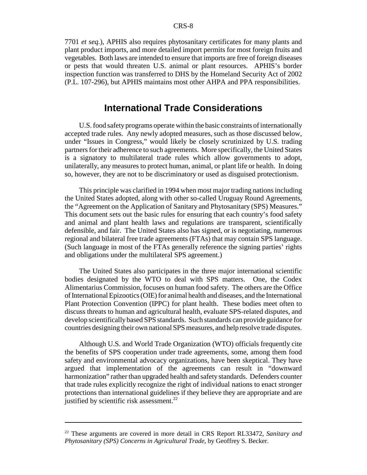7701 *et seq*.), APHIS also requires phytosanitary certificates for many plants and plant product imports, and more detailed import permits for most foreign fruits and vegetables. Both laws are intended to ensure that imports are free of foreign diseases or pests that would threaten U.S. animal or plant resources. APHIS's border inspection function was transferred to DHS by the Homeland Security Act of 2002 (P.L. 107-296), but APHIS maintains most other AHPA and PPA responsibilities.

#### **International Trade Considerations**

U.S. food safety programs operate within the basic constraints of internationally accepted trade rules. Any newly adopted measures, such as those discussed below, under "Issues in Congress," would likely be closely scrutinized by U.S. trading partners for their adherence to such agreements. More specifically, the United States is a signatory to multilateral trade rules which allow governments to adopt, unilaterally, any measures to protect human, animal, or plant life or health. In doing so, however, they are not to be discriminatory or used as disguised protectionism.

This principle was clarified in 1994 when most major trading nations including the United States adopted, along with other so-called Uruguay Round Agreements, the "Agreement on the Application of Sanitary and Phytosanitary (SPS) Measures." This document sets out the basic rules for ensuring that each country's food safety and animal and plant health laws and regulations are transparent, scientifically defensible, and fair. The United States also has signed, or is negotiating, numerous regional and bilateral free trade agreements (FTAs) that may contain SPS language. (Such language in most of the FTAs generally reference the signing parties' rights and obligations under the multilateral SPS agreement.)

The United States also participates in the three major international scientific bodies designated by the WTO to deal with SPS matters. One, the Codex Alimentarius Commission, focuses on human food safety. The others are the Office of International Epizootics (OIE) for animal health and diseases, and the International Plant Protection Convention (IPPC) for plant health. These bodies meet often to discuss threats to human and agricultural health, evaluate SPS-related disputes, and develop scientifically based SPS standards. Such standards can provide guidance for countries designing their own national SPS measures, and help resolve trade disputes.

Although U.S. and World Trade Organization (WTO) officials frequently cite the benefits of SPS cooperation under trade agreements, some, among them food safety and environmental advocacy organizations, have been skeptical. They have argued that implementation of the agreements can result in "downward harmonization" rather than upgraded health and safety standards. Defenders counter that trade rules explicitly recognize the right of individual nations to enact stronger protections than international guidelines if they believe they are appropriate and are justified by scientific risk assessment.<sup>22</sup>

<sup>22</sup> These arguments are covered in more detail in CRS Report RL33472, *Sanitary and Phytosanitary (SPS) Concerns in Agricultural Trade*, by Geoffrey S. Becker.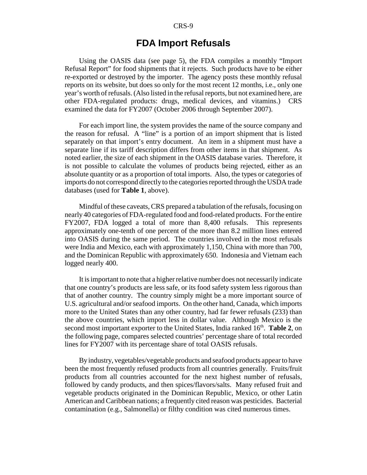## **FDA Import Refusals**

Using the OASIS data (see page 5), the FDA compiles a monthly "Import Refusal Report" for food shipments that it rejects. Such products have to be either re-exported or destroyed by the importer. The agency posts these monthly refusal reports on its website, but does so only for the most recent 12 months, i.e., only one year's worth of refusals. (Also listed in the refusal reports, but not examined here, are other FDA-regulated products: drugs, medical devices, and vitamins.) CRS examined the data for FY2007 (October 2006 through September 2007).

For each import line, the system provides the name of the source company and the reason for refusal. A "line" is a portion of an import shipment that is listed separately on that import's entry document. An item in a shipment must have a separate line if its tariff description differs from other items in that shipment. As noted earlier, the size of each shipment in the OASIS database varies. Therefore, it is not possible to calculate the volumes of products being rejected, either as an absolute quantity or as a proportion of total imports. Also, the types or categories of imports do not correspond directly to the categories reported through the USDA trade databases (used for **Table 1**, above).

Mindful of these caveats, CRS prepared a tabulation of the refusals, focusing on nearly 40 categories of FDA-regulated food and food-related products. For the entire FY2007, FDA logged a total of more than 8,400 refusals. This represents approximately one-tenth of one percent of the more than 8.2 million lines entered into OASIS during the same period. The countries involved in the most refusals were India and Mexico, each with approximately 1,150, China with more than 700, and the Dominican Republic with approximately 650. Indonesia and Vietnam each logged nearly 400.

It is important to note that a higher relative number does not necessarily indicate that one country's products are less safe, or its food safety system less rigorous than that of another country. The country simply might be a more important source of U.S. agricultural and/or seafood imports. On the other hand, Canada, which imports more to the United States than any other country, had far fewer refusals (233) than the above countries, which import less in dollar value. Although Mexico is the second most important exporter to the United States, India ranked 16<sup>th</sup>. Table 2, on the following page, compares selected countries' percentage share of total recorded lines for FY2007 with its percentage share of total OASIS refusals.

By industry, vegetables/vegetable products and seafood products appear to have been the most frequently refused products from all countries generally. Fruits/fruit products from all countries accounted for the next highest number of refusals, followed by candy products, and then spices/flavors/salts. Many refused fruit and vegetable products originated in the Dominican Republic, Mexico, or other Latin American and Caribbean nations; a frequently cited reason was pesticides. Bacterial contamination (e.g., Salmonella) or filthy condition was cited numerous times.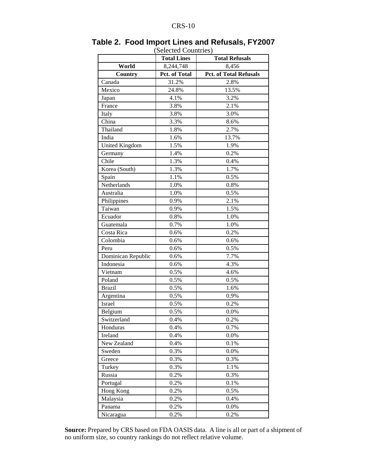| SCIELICU COUTILIES)<br><b>Total Refusals</b><br><b>Total Lines</b> |               |                               |  |
|--------------------------------------------------------------------|---------------|-------------------------------|--|
| World                                                              | 8,244,748     | 8,456                         |  |
| <b>Country</b>                                                     | Pct. of Total | <b>Pct. of Total Refusals</b> |  |
| Canada                                                             | 31.2%         | 2.8%                          |  |
| Mexico                                                             | 24.8%         | 13.5%                         |  |
| Japan                                                              | 4.1%          | 3.2%                          |  |
| France                                                             | 3.8%          | 2.1%                          |  |
| Italy                                                              | 3.8%          | 3.0%                          |  |
| China                                                              | 3.3%          | 8.6%                          |  |
| Thailand                                                           | 1.8%          | 2.7%                          |  |
| India                                                              | 1.6%          | 13.7%                         |  |
| <b>United Kingdom</b>                                              | 1.5%          | 1.9%                          |  |
| Germany                                                            | 1.4%          | 0.2%                          |  |
| Chile                                                              | 1.3%          | 0.4%                          |  |
| Korea (South)                                                      | 1.3%          | 1.7%                          |  |
| Spain                                                              | 1.1%          | 0.5%                          |  |
| Netherlands                                                        | 1.0%          | 0.8%                          |  |
| Australia                                                          | 1.0%          | 0.5%                          |  |
| Philippines                                                        | 0.9%          | 2.1%                          |  |
| Taiwan                                                             | 0.9%          | 1.5%                          |  |
| Ecuador                                                            | 0.8%          | 1.0%                          |  |
| Guatemala                                                          | 0.7%          | 1.0%                          |  |
| Costa Rica                                                         | 0.6%          | 0.2%                          |  |
| Colombia                                                           | 0.6%          | 0.6%                          |  |
| Peru                                                               | 0.6%          | 0.5%                          |  |
| Dominican Republic                                                 | 0.6%          | 7.7%                          |  |
| Indonesia                                                          | 0.6%          | 4.3%                          |  |
| Vietnam                                                            | 0.5%          | 4.6%                          |  |
| Poland                                                             | 0.5%          | 0.5%                          |  |
| <b>Brazil</b>                                                      | 0.5%          | 1.6%                          |  |
| Argentina                                                          | 0.5%          | 0.9%                          |  |
| Israel                                                             | 0.5%          | 0.2%                          |  |
| Belgium                                                            | 0.5%          | 0.0%                          |  |
| Switzerland                                                        | 0.4%          | 0.2%                          |  |
| Honduras                                                           | 0.4%          | 0.7%                          |  |
| Ireland                                                            | 0.4%          | 0.0%                          |  |
| New Zealand                                                        | 0.4%          | 0.1%                          |  |
| Sweden                                                             | 0.3%          | 0.0%                          |  |
| Greece                                                             | 0.3%          | 0.3%                          |  |
| Turkey                                                             | 0.3%          | 1.1%                          |  |
| Russia                                                             | 0.2%          | 0.3%                          |  |
| Portugal                                                           | 0.2%          | 0.1%                          |  |
| Hong Kong                                                          | 0.2%          | 0.5%                          |  |
| Malaysia                                                           | 0.2%          | 0.4%                          |  |
| Panama                                                             | 0.2%          | 0.0%                          |  |
| Nicaragua                                                          | 0.2%          | 0.2%                          |  |
|                                                                    |               |                               |  |

#### **Table 2. Food Import Lines and Refusals, FY2007** (Selected Countries)

**Source:** Prepared by CRS based on FDA OASIS data. A line is all or part of a shipment of no uniform size, so country rankings do not reflect relative volume.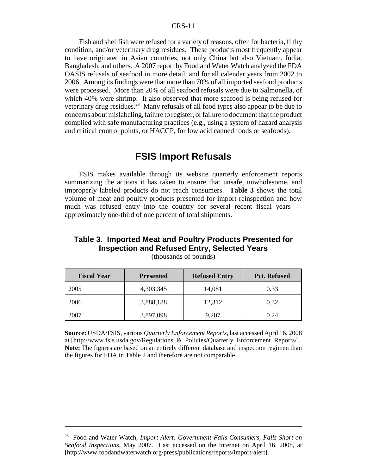Fish and shellfish were refused for a variety of reasons, often for bacteria, filthy condition, and/or veterinary drug residues. These products most frequently appear to have originated in Asian countries, not only China but also Vietnam, India, Bangladesh, and others. A 2007 report by Food and Water Watch analyzed the FDA OASIS refusals of seafood in more detail, and for all calendar years from 2002 to 2006. Among its findings were that more than 70% of all imported seafood products were processed. More than 20% of all seafood refusals were due to Salmonella, of which 40% were shrimp. It also observed that more seafood is being refused for veterinary drug residues.<sup>23</sup> Many refusals of all food types also appear to be due to concerns about mislabeling, failure to register, or failure to document that the product complied with safe manufacturing practices (e.g., using a system of hazard analysis and critical control points, or HACCP, for low acid canned foods or seafoods).

# **FSIS Import Refusals**

FSIS makes available through its website quarterly enforcement reports summarizing the actions it has taken to ensure that unsafe, unwholesome, and improperly labeled products do not reach consumers. **Table 3** shows the total volume of meat and poultry products presented for import reinspection and how much was refused entry into the country for several recent fiscal years approximately one-third of one percent of total shipments.

## **Table 3. Imported Meat and Poultry Products Presented for Inspection and Refused Entry, Selected Years**

| <b>Fiscal Year</b> | <b>Presented</b> | <b>Refused Entry</b> | <b>Pct. Refused</b> |
|--------------------|------------------|----------------------|---------------------|
| 2005               | 4,303,345        | 14,081               | 0.33                |
| 2006               | 3,888,188        | 12,312               | 0.32                |
| 2007               | 3,897,098        | 9,207                | 0.24                |

(thousands of pounds)

**Source:** USDA/FSIS, various *Quarterly Enforcement Reports*, last accessed April 16, 2008 at [http://www.fsis.usda.gov/Regulations\_&\_Policies/Quarterly\_Enforcement\_Reports/]. **Note:** The figures are based on an entirely different database and inspection regimen than the figures for FDA in Table 2 and therefore are not comparable.

<sup>23</sup> Food and Water Watch, *Import Alert: Government Fails Consumers, Falls Short on Seafood Inspections*, May 2007. Last accessed on the Internet on April 16, 2008, at [http://www.foodandwaterwatch.org/press/publications/reports/import-alert].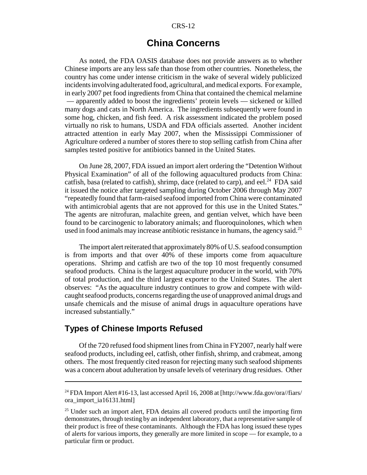# **China Concerns**

As noted, the FDA OASIS database does not provide answers as to whether Chinese imports are any less safe than those from other countries. Nonetheless, the country has come under intense criticism in the wake of several widely publicized incidents involving adulterated food, agricultural, and medical exports. For example, in early 2007 pet food ingredients from China that contained the chemical melamine — apparently added to boost the ingredients' protein levels — sickened or killed many dogs and cats in North America. The ingredients subsequently were found in some hog, chicken, and fish feed. A risk assessment indicated the problem posed virtually no risk to humans, USDA and FDA officials asserted. Another incident attracted attention in early May 2007, when the Mississippi Commissioner of Agriculture ordered a number of stores there to stop selling catfish from China after samples tested positive for antibiotics banned in the United States.

On June 28, 2007, FDA issued an import alert ordering the "Detention Without Physical Examination" of all of the following aquacultured products from China: catfish, basa (related to catfish), shrimp, dace (related to carp), and eel.<sup>24</sup> FDA said it issued the notice after targeted sampling during October 2006 through May 2007 "repeatedly found that farm-raised seafood imported from China were contaminated with antimicrobial agents that are not approved for this use in the United States." The agents are nitrofuran, malachite green, and gentian velvet, which have been found to be carcinogenic to laboratory animals; and fluoroquinolones, which when used in food animals may increase antibiotic resistance in humans, the agency said.<sup>25</sup>

The import alert reiterated that approximately 80% of U.S. seafood consumption is from imports and that over 40% of these imports come from aquaculture operations. Shrimp and catfish are two of the top 10 most frequently consumed seafood products. China is the largest aquaculture producer in the world, with 70% of total production, and the third largest exporter to the United States. The alert observes: "As the aquaculture industry continues to grow and compete with wildcaught seafood products, concerns regarding the use of unapproved animal drugs and unsafe chemicals and the misuse of animal drugs in aquaculture operations have increased substantially."

#### **Types of Chinese Imports Refused**

Of the 720 refused food shipment lines from China in FY2007, nearly half were seafood products, including eel, catfish, other finfish, shrimp, and crabmeat, among others. The most frequently cited reason for rejecting many such seafood shipments was a concern about adulteration by unsafe levels of veterinary drug residues. Other

 $^{24}$  FDA Import Alert #16-13, last accessed April 16, 2008 at [http://www.fda.gov/ora//fiars/ ora\_import\_ia16131.html]

<sup>&</sup>lt;sup>25</sup> Under such an import alert, FDA detains all covered products until the importing firm demonstrates, through testing by an independent laboratory, that a representative sample of their product is free of these contaminants. Although the FDA has long issued these types of alerts for various imports, they generally are more limited in scope — for example, to a particular firm or product.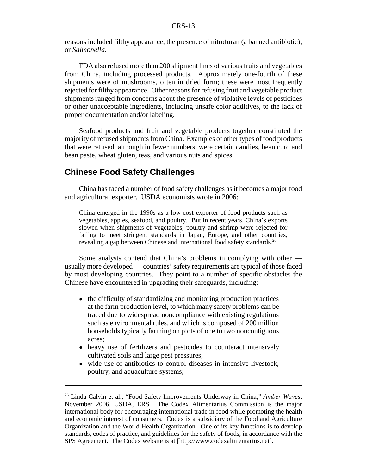reasons included filthy appearance, the presence of nitrofuran (a banned antibiotic), or *Salmonella*.

FDA also refused more than 200 shipment lines of various fruits and vegetables from China, including processed products. Approximately one-fourth of these shipments were of mushrooms, often in dried form; these were most frequently rejected for filthy appearance. Other reasons for refusing fruit and vegetable product shipments ranged from concerns about the presence of violative levels of pesticides or other unacceptable ingredients, including unsafe color additives, to the lack of proper documentation and/or labeling.

Seafood products and fruit and vegetable products together constituted the majority of refused shipments from China. Examples of other types of food products that were refused, although in fewer numbers, were certain candies, bean curd and bean paste, wheat gluten, teas, and various nuts and spices.

#### **Chinese Food Safety Challenges**

China has faced a number of food safety challenges as it becomes a major food and agricultural exporter. USDA economists wrote in 2006:

China emerged in the 1990s as a low-cost exporter of food products such as vegetables, apples, seafood, and poultry. But in recent years, China's exports slowed when shipments of vegetables, poultry and shrimp were rejected for failing to meet stringent standards in Japan, Europe, and other countries, revealing a gap between Chinese and international food safety standards.<sup>26</sup>

Some analysts contend that China's problems in complying with other usually more developed — countries' safety requirements are typical of those faced by most developing countries. They point to a number of specific obstacles the Chinese have encountered in upgrading their safeguards, including:

- the difficulty of standardizing and monitoring production practices at the farm production level, to which many safety problems can be traced due to widespread noncompliance with existing regulations such as environmental rules, and which is composed of 200 million households typically farming on plots of one to two noncontiguous acres;
- heavy use of fertilizers and pesticides to counteract intensively cultivated soils and large pest pressures;
- ! wide use of antibiotics to control diseases in intensive livestock, poultry, and aquaculture systems;

<sup>26</sup> Linda Calvin et al., "Food Safety Improvements Underway in China," *Amber Waves*, November 2006, USDA, ERS. The Codex Alimentarius Commission is the major international body for encouraging international trade in food while promoting the health and economic interest of consumers. Codex is a subsidiary of the Food and Agriculture Organization and the World Health Organization. One of its key functions is to develop standards, codes of practice, and guidelines for the safety of foods, in accordance with the SPS Agreement. The Codex website is at [http://www.codexalimentarius.net].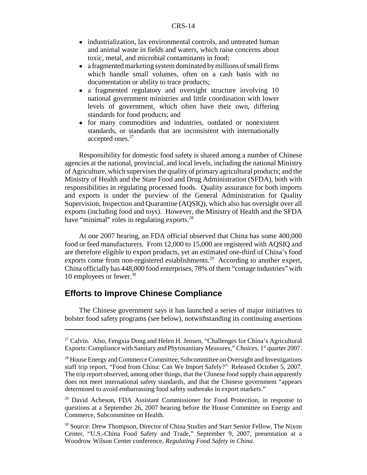- industrialization, lax environmental controls, and untreated human and animal waste in fields and waters, which raise concerns about toxic, metal, and microbial contaminants in food;
- a fragmented marketing system dominated by millions of small firms which handle small volumes, often on a cash basis with no documentation or ability to trace products;
- a fragmented regulatory and oversight structure involving 10 national government ministries and little coordination with lower levels of government, which often have their own, differing standards for food products; and
- for many commodities and industries, outdated or nonexistent standards, or standards that are inconsistent with internationally accepted ones.<sup>27</sup>

Responsibility for domestic food safety is shared among a number of Chinese agencies at the national, provincial, and local levels, including the national Ministry of Agriculture, which supervises the quality of primary agricultural products; and the Ministry of Health and the State Food and Drug Administration (SFDA), both with responsibilities in regulating processed foods. Quality assurance for both imports and exports is under the purview of the General Administration for Quality Supervision, Inspection and Quarantine (AQSIQ), which also has oversight over all exports (including food and toys). However, the Ministry of Health and the SFDA have "minimal" roles in regulating exports.<sup>28</sup>

At one 2007 hearing, an FDA official observed that China has some 400,000 food or feed manufacturers. From 12,000 to 15,000 are registered with AQSIQ and are therefore eligible to export products, yet an estimated one-third of China's food exports come from non-registered establishments.<sup>29</sup> According to another expert, China officially has 448,000 food enterprises, 78% of them "cottage industries" with 10 employees or fewer.<sup>30</sup>

#### **Efforts to Improve Chinese Compliance**

The Chinese government says it has launched a series of major initiatives to bolster food safety programs (see below), notwithstanding its continuing assertions

 $29$  David Acheson, FDA Assistant Commissioner for Food Protection, in response to questions at a September 26, 2007 hearing before the House Committee on Energy and Commerce, Subcommittee on Health.

 $27$  Calvin. Also, Fengxia Dong and Helen H. Jensen, "Challenges for China's Agricultural Exports: Compliance with Sanitary and Phytosanitary Measures," *Choices*, 1<sup>st</sup> quarter 2007.

<sup>&</sup>lt;sup>28</sup> House Energy and Commerce Committee, Subcommittee on Oversight and Investigations staff trip report, "Food from China: Can We Import Safely?" Released October 5, 2007. The trip report observed, among other things, that the Chinese food supply chain apparently does not meet international safety standards, and that the Chinese government "appears determined to avoid embarrassing food safety outbreaks in export markets."

<sup>&</sup>lt;sup>30</sup> Source: Drew Thompson, Director of China Studies and Starr Senior Fellow, The Nixon Center, "U.S.-China Food Safety and Trade," September 9, 2007, presentation at a Woodrow Wilson Center conference, *Regulating Food Safety in China*.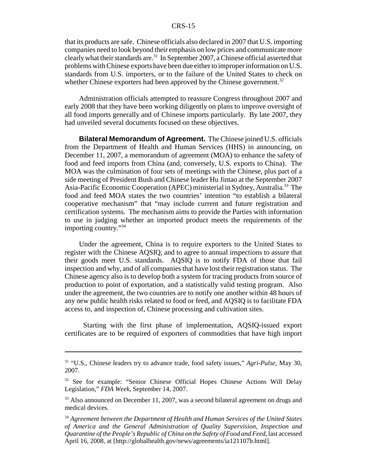that its products are safe. Chinese officials also declared in 2007 that U.S. importing companies need to look beyond their emphasis on low prices and communicate more clearly what their standards are.<sup>31</sup> In September 2007, a Chinese official asserted that problems with Chinese exports have been due either to improper information on U.S. standards from U.S. importers, or to the failure of the United States to check on whether Chinese exporters had been approved by the Chinese government.<sup>32</sup>

Administration officials attempted to reassure Congress throughout 2007 and early 2008 that they have been working diligently on plans to improve oversight of all food imports generally and of Chinese imports particularly. By late 2007, they had unveiled several documents focused on these objectives.

**Bilateral Memorandum of Agreement.** The Chinese joined U.S. officials from the Department of Health and Human Services (HHS) in announcing, on December 11, 2007, a memorandum of agreement (MOA) to enhance the safety of food and feed imports from China (and, conversely, U.S. exports to China). The MOA was the culmination of four sets of meetings with the Chinese, plus part of a side meeting of President Bush and Chinese leader Hu Jintao at the September 2007 Asia-Pacific Economic Cooperation (APEC) ministerial in Sydney, Australia.33 The food and feed MOA states the two countries' intention "to establish a bilateral cooperative mechanism" that "may include current and future registration and certification systems. The mechanism aims to provide the Parties with information to use in judging whether an imported product meets the requirements of the importing country."34

Under the agreement, China is to require exporters to the United States to register with the Chinese AQSIQ, and to agree to annual inspections to assure that their goods meet U.S. standards. AQSIQ is to notify FDA of those that fail inspection and why, and of all companies that have lost their registration status. The Chinese agency also is to develop both a system for tracing products from source of production to point of exportation, and a statistically valid testing program. Also under the agreement, the two countries are to notify one another within 48 hours of any new public health risks related to food or feed, and AQSIQ is to facilitate FDA access to, and inspection of, Chinese processing and cultivation sites.

 Starting with the first phase of implementation, AQSIQ-issued export certificates are to be required of exporters of commodities that have high import

<sup>31 &</sup>quot;U.S., Chinese leaders try to advance trade, food safety issues," *Agri-Pulse*, May 30, 2007.

<sup>&</sup>lt;sup>32</sup> See for example: "Senior Chinese Official Hopes Chinese Actions Will Delay Legislation," *FDA Week*, September 14, 2007.

<sup>&</sup>lt;sup>33</sup> Also announced on December 11, 2007, was a second bilateral agreement on drugs and medical devices.

<sup>34</sup> *Agreement between the Department of Health and Human Services of the United States of America and the General Administration of Quality Supervision, Inspection and Quarantine of the People's Republic of China on the Safety of Food and Feed*, last accessed April 16, 2008, at [http://globalhealth.gov/news/agreements/ia121107b.html].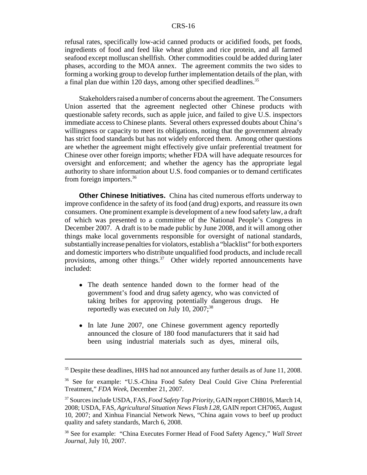refusal rates, specifically low-acid canned products or acidified foods, pet foods, ingredients of food and feed like wheat gluten and rice protein, and all farmed seafood except molluscan shellfish. Other commodities could be added during later phases, according to the MOA annex. The agreement commits the two sides to forming a working group to develop further implementation details of the plan, with a final plan due within 120 days, among other specified deadlines.<sup>35</sup>

Stakeholders raised a number of concerns about the agreement. The Consumers Union asserted that the agreement neglected other Chinese products with questionable safety records, such as apple juice, and failed to give U.S. inspectors immediate access to Chinese plants. Several others expressed doubts about China's willingness or capacity to meet its obligations, noting that the government already has strict food standards but has not widely enforced them. Among other questions are whether the agreement might effectively give unfair preferential treatment for Chinese over other foreign imports; whether FDA will have adequate resources for oversight and enforcement; and whether the agency has the appropriate legal authority to share information about U.S. food companies or to demand certificates from foreign importers.36

**Other Chinese Initiatives.** China has cited numerous efforts underway to improve confidence in the safety of its food (and drug) exports, and reassure its own consumers. One prominent example is development of a new food safety law, a draft of which was presented to a committee of the National People's Congress in December 2007. A draft is to be made public by June 2008, and it will among other things make local governments responsible for oversight of national standards, substantially increase penalties for violators, establish a "blacklist" for both exporters and domestic importers who distribute unqualified food products, and include recall provisions, among other things.<sup>37</sup> Other widely reported announcements have included:

- The death sentence handed down to the former head of the government's food and drug safety agency, who was convicted of taking bribes for approving potentially dangerous drugs. He reportedly was executed on July 10,  $2007$ ;<sup>38</sup>
- In late June 2007, one Chinese government agency reportedly announced the closure of 180 food manufacturers that it said had been using industrial materials such as dyes, mineral oils,

<sup>&</sup>lt;sup>35</sup> Despite these deadlines, HHS had not announced any further details as of June 11, 2008.

<sup>36</sup> See for example: "U.S.-China Food Safety Deal Could Give China Preferential Treatment," *FDA Week*, December 21, 2007.

<sup>37</sup> Sources include USDA, FAS, *Food Safety Top Priority*, GAIN report CH8016, March 14, 2008; USDA, FAS, *Agricultural Situation News Flash I.28*, GAIN report CH7065, August 10, 2007; and Xinhua Financial Network News, "China again vows to beef up product quality and safety standards, March 6, 2008.

<sup>38</sup> See for example: "China Executes Former Head of Food Safety Agency," *Wall Street Journal*, July 10, 2007.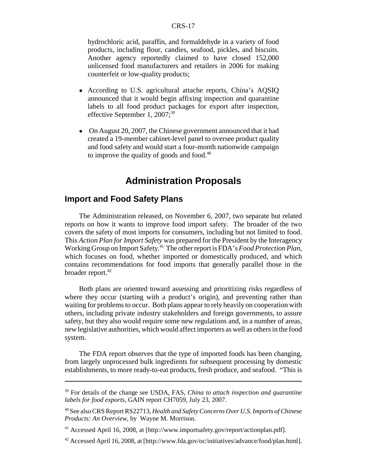hydrochloric acid, paraffin, and formaldehyde in a variety of food products, including flour, candies, seafood, pickles, and biscuits. Another agency reportedly claimed to have closed 152,000 unlicensed food manufacturers and retailers in 2006 for making counterfeit or low-quality products;

- According to U.S. agricultural attache reports, China's AQSIQ announced that it would begin affixing inspection and quarantine labels to all food product packages for export after inspection, effective September 1,  $2007$ ;<sup>39</sup>
- On August 20, 2007, the Chinese government announced that it had created a 19-member cabinet-level panel to oversee product quality and food safety and would start a four-month nationwide campaign to improve the quality of goods and food.<sup>40</sup>

# **Administration Proposals**

#### **Import and Food Safety Plans**

The Administration released, on November 6, 2007, two separate but related reports on how it wants to improve food import safety. The broader of the two covers the safety of most imports for consumers, including but not limited to food. This *Action Plan for Import Safety* was prepared for the President by the Interagency Working Group on Import Safety.41 The other report is FDA's *Food Protection Plan,* which focuses on food, whether imported or domestically produced, and which contains recommendations for food imports that generally parallel those in the broader report.<sup>42</sup>

Both plans are oriented toward assessing and prioritizing risks regardless of where they occur (starting with a product's origin), and preventing rather than waiting for problems to occur. Both plans appear to rely heavily on cooperation with others, including private industry stakeholders and foreign governments, to assure safety, but they also would require some new regulations and, in a number of areas, new legislative authorities, which would affect importers as well as others in the food system.

The FDA report observes that the type of imported foods has been changing, from largely unprocessed bulk ingredients for subsequent processing by domestic establishments, to more ready-to-eat products, fresh produce, and seafood. "This is

<sup>39</sup> For details of the change see USDA, FAS, *China to attach inspection and quarantine labels for food exports*, GAIN report CH7059, July 23, 2007.

<sup>40</sup> See also CRS Report RS22713, *Health and Safety Concerns Over U.S. Imports of Chinese Products: An Overview*, by Wayne M. Morrison.

<sup>41</sup> Accessed April 16, 2008, at [http://www.importsafety.gov/report/actionplan.pdf].

<sup>&</sup>lt;sup>42</sup> Accessed April 16, 2008, at [http://www.fda.gov/oc/initiatives/advance/food/plan.html].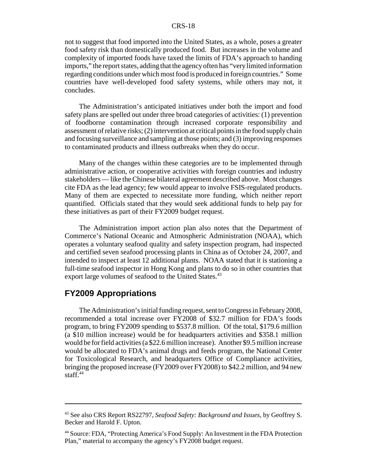not to suggest that food imported into the United States, as a whole, poses a greater food safety risk than domestically produced food. But increases in the volume and complexity of imported foods have taxed the limits of FDA's approach to handing imports," the report states, adding that the agency often has "very limited information regarding conditions under which most food is produced in foreign countries." Some countries have well-developed food safety systems, while others may not, it concludes.

The Administration's anticipated initiatives under both the import and food safety plans are spelled out under three broad categories of activities: (1) prevention of foodborne contamination through increased corporate responsibility and assessment of relative risks; (2) intervention at critical points in the food supply chain and focusing surveillance and sampling at those points; and (3) improving responses to contaminated products and illness outbreaks when they do occur.

Many of the changes within these categories are to be implemented through administrative action, or cooperative activities with foreign countries and industry stakeholders — like the Chinese bilateral agreement described above. Most changes cite FDA as the lead agency; few would appear to involve FSIS-regulated products. Many of them are expected to necessitate more funding, which neither report quantified. Officials stated that they would seek additional funds to help pay for these initiatives as part of their FY2009 budget request.

The Administration import action plan also notes that the Department of Commerce's National Oceanic and Atmospheric Administration (NOAA), which operates a voluntary seafood quality and safety inspection program, had inspected and certified seven seafood processing plants in China as of October 24, 2007, and intended to inspect at least 12 additional plants. NOAA stated that it is stationing a full-time seafood inspector in Hong Kong and plans to do so in other countries that export large volumes of seafood to the United States.<sup>43</sup>

#### **FY2009 Appropriations**

The Administration's initial funding request, sent to Congress in February 2008, recommended a total increase over FY2008 of \$32.7 million for FDA's foods program, to bring FY2009 spending to \$537.8 million. Of the total, \$179.6 million (a \$10 million increase) would be for headquarters activities and \$358.1 million would be for field activities (a \$22.6 million increase). Another \$9.5 million increase would be allocated to FDA's animal drugs and feeds program, the National Center for Toxicological Research, and headquarters Office of Compliance activities, bringing the proposed increase (FY2009 over FY2008) to \$42.2 million, and 94 new staff.<sup>44</sup>

<sup>43</sup> See also CRS Report RS22797, *Seafood Safety: Background and Issues*, by Geoffrey S. Becker and Harold F. Upton.

<sup>44</sup> Source: FDA, "Protecting America's Food Supply: An Investment in the FDA Protection Plan," material to accompany the agency's FY2008 budget request.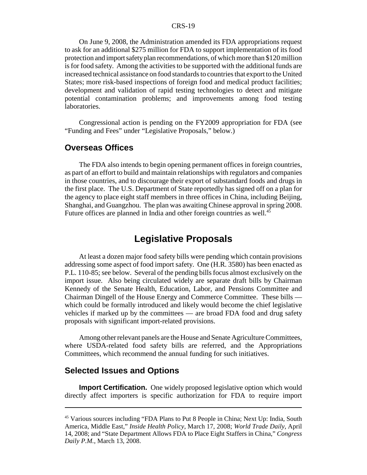On June 9, 2008, the Administration amended its FDA appropriations request to ask for an additional \$275 million for FDA to support implementation of its food protection and import safety plan recommendations, of which more than \$120 million is for food safety. Among the activities to be supported with the additional funds are increased technical assistance on food standards to countries that export to the United States; more risk-based inspections of foreign food and medical product facilities; development and validation of rapid testing technologies to detect and mitigate potential contamination problems; and improvements among food testing laboratories.

Congressional action is pending on the FY2009 appropriation for FDA (see "Funding and Fees" under "Legislative Proposals," below.)

#### **Overseas Offices**

The FDA also intends to begin opening permanent offices in foreign countries, as part of an effort to build and maintain relationships with regulators and companies in those countries, and to discourage their export of substandard foods and drugs in the first place. The U.S. Department of State reportedly has signed off on a plan for the agency to place eight staff members in three offices in China, including Beijing, Shanghai, and Guangzhou. The plan was awaiting Chinese approval in spring 2008. Future offices are planned in India and other foreign countries as well.<sup>45</sup>

# **Legislative Proposals**

At least a dozen major food safety bills were pending which contain provisions addressing some aspect of food import safety. One (H.R. 3580) has been enacted as P.L. 110-85; see below. Several of the pending bills focus almost exclusively on the import issue. Also being circulated widely are separate draft bills by Chairman Kennedy of the Senate Health, Education, Labor, and Pensions Committee and Chairman Dingell of the House Energy and Commerce Committee. These bills which could be formally introduced and likely would become the chief legislative vehicles if marked up by the committees — are broad FDA food and drug safety proposals with significant import-related provisions.

Among other relevant panels are the House and Senate Agriculture Committees, where USDA-related food safety bills are referred, and the Appropriations Committees, which recommend the annual funding for such initiatives.

#### **Selected Issues and Options**

**Import Certification.** One widely proposed legislative option which would directly affect importers is specific authorization for FDA to require import

<sup>&</sup>lt;sup>45</sup> Various sources including "FDA Plans to Put 8 People in China; Next Up: India, South America, Middle East," *Inside Health Policy*, March 17, 2008; *World Trade Daily*, April 14, 2008; and "State Department Allows FDA to Place Eight Staffers in China," *Congress Daily P.M.*, March 13, 2008.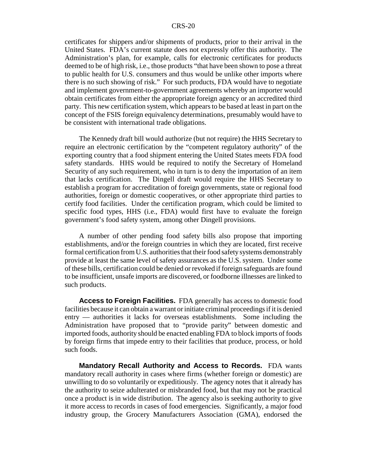certificates for shippers and/or shipments of products, prior to their arrival in the United States. FDA's current statute does not expressly offer this authority. The Administration's plan, for example, calls for electronic certificates for products deemed to be of high risk, i.e., those products "that have been shown to pose a threat to public health for U.S. consumers and thus would be unlike other imports where there is no such showing of risk." For such products, FDA would have to negotiate and implement government-to-government agreements whereby an importer would obtain certificates from either the appropriate foreign agency or an accredited third party. This new certification system, which appears to be based at least in part on the concept of the FSIS foreign equivalency determinations, presumably would have to be consistent with international trade obligations.

The Kennedy draft bill would authorize (but not require) the HHS Secretary to require an electronic certification by the "competent regulatory authority" of the exporting country that a food shipment entering the United States meets FDA food safety standards. HHS would be required to notify the Secretary of Homeland Security of any such requirement, who in turn is to deny the importation of an item that lacks certification. The Dingell draft would require the HHS Secretary to establish a program for accreditation of foreign governments, state or regional food authorities, foreign or domestic cooperatives, or other appropriate third parties to certify food facilities. Under the certification program, which could be limited to specific food types, HHS (i.e., FDA) would first have to evaluate the foreign government's food safety system, among other Dingell provisions.

A number of other pending food safety bills also propose that importing establishments, and/or the foreign countries in which they are located, first receive formal certification from U.S. authorities that their food safety systems demonstrably provide at least the same level of safety assurances as the U.S. system. Under some of these bills, certification could be denied or revoked if foreign safeguards are found to be insufficient, unsafe imports are discovered, or foodborne illnesses are linked to such products.

**Access to Foreign Facilities.** FDA generally has access to domestic food facilities because it can obtain a warrant or initiate criminal proceedings if it is denied entry — authorities it lacks for overseas establishments. Some including the Administration have proposed that to "provide parity" between domestic and imported foods, authority should be enacted enabling FDA to block imports of foods by foreign firms that impede entry to their facilities that produce, process, or hold such foods.

**Mandatory Recall Authority and Access to Records.** FDA wants mandatory recall authority in cases where firms (whether foreign or domestic) are unwilling to do so voluntarily or expeditiously. The agency notes that it already has the authority to seize adulterated or misbranded food, but that may not be practical once a product is in wide distribution. The agency also is seeking authority to give it more access to records in cases of food emergencies. Significantly, a major food industry group, the Grocery Manufacturers Association (GMA), endorsed the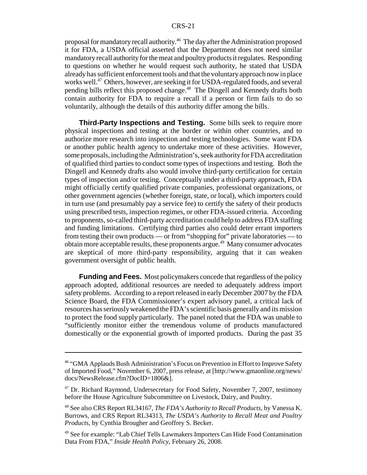proposal for mandatory recall authority.46 The day after the Administration proposed it for FDA, a USDA official asserted that the Department does not need similar mandatory recall authority for the meat and poultry products it regulates. Responding to questions on whether he would request such authority, he stated that USDA already has sufficient enforcement tools and that the voluntary approach now in place works well.<sup>47</sup> Others, however, are seeking it for USDA-regulated foods, and several pending bills reflect this proposed change.48 The Dingell and Kennedy drafts both contain authority for FDA to require a recall if a person or firm fails to do so voluntarily, although the details of this authority differ among the bills.

**Third-Party Inspections and Testing.** Some bills seek to require more physical inspections and testing at the border or within other countries, and to authorize more research into inspection and testing technologies. Some want FDA or another public health agency to undertake more of these activities. However, some proposals, including the Administration's, seek authority for FDA accreditation of qualified third parties to conduct some types of inspections and testing. Both the Dingell and Kennedy drafts also would involve third-party certification for certain types of inspection and/or testing. Conceptually under a third-party approach, FDA might officially certify qualified private companies, professional organizations, or other government agencies (whether foreign, state, or local), which importers could in turn use (and presumably pay a service fee) to certify the safety of their products using prescribed tests, inspection regimes, or other FDA-issued criteria. According to proponents, so-called third-party accreditation could help to address FDA staffing and funding limitations. Certifying third parties also could deter errant importers from testing their own products — or from "shopping for" private laboratories — to obtain more acceptable results, these proponents argue.49 Many consumer advocates are skeptical of more third-party responsibility, arguing that it can weaken government oversight of public health.

**Funding and Fees.** Most policymakers concede that regardless of the policy approach adopted, additional resources are needed to adequately address import safety problems. According to a report released in early December 2007 by the FDA Science Board, the FDA Commissioner's expert advisory panel, a critical lack of resources has seriously weakened the FDA's scientific basis generally and its mission to protect the food supply particularly. The panel noted that the FDA was unable to "sufficiently monitor either the tremendous volume of products manufactured domestically or the exponential growth of imported products. During the past 35

<sup>46 &</sup>quot;GMA Applauds Bush Administration's Focus on Prevention in Effort to Improve Safety of Imported Food," November 6, 2007, press release, at [http://www.gmaonline.org/news/ docs/NewsRelease.cfm?DocID=1806&].

<sup>&</sup>lt;sup>47</sup> Dr. Richard Raymond, Undersecretary for Food Safety, November 7, 2007, testimony before the House Agriculture Subcommittee on Livestock, Dairy, and Poultry.

<sup>48</sup> See also CRS Report RL34167, *The FDA's Authority to Recall Products*, by Vanessa K. Burrows, and CRS Report RL34313, *The USDA's Authority to Recall Meat and Poultry Products*, by Cynthia Brougher and Geoffrey S. Becker.

<sup>49</sup> See for example: "Lab Chief Tells Lawmakers Importers Can Hide Food Contamination Data From FDA," *Inside Health Policy*, February 26, 2008.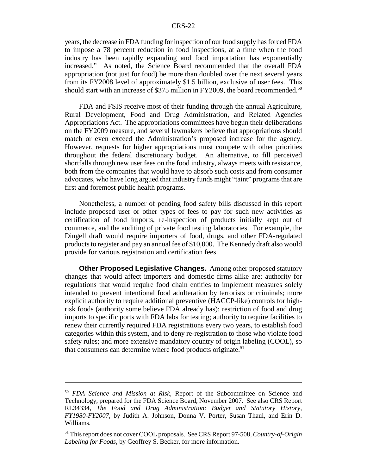years, the decrease in FDA funding for inspection of our food supply has forced FDA to impose a 78 percent reduction in food inspections, at a time when the food industry has been rapidly expanding and food importation has exponentially increased." As noted, the Science Board recommended that the overall FDA appropriation (not just for food) be more than doubled over the next several years from its FY2008 level of approximately \$1.5 billion, exclusive of user fees. This should start with an increase of \$375 million in FY2009, the board recommended.<sup>50</sup>

FDA and FSIS receive most of their funding through the annual Agriculture, Rural Development, Food and Drug Administration, and Related Agencies Appropriations Act. The appropriations committees have begun their deliberations on the FY2009 measure, and several lawmakers believe that appropriations should match or even exceed the Administration's proposed increase for the agency. However, requests for higher appropriations must compete with other priorities throughout the federal discretionary budget. An alternative, to fill perceived shortfalls through new user fees on the food industry, always meets with resistance, both from the companies that would have to absorb such costs and from consumer advocates, who have long argued that industry funds might "taint" programs that are first and foremost public health programs.

Nonetheless, a number of pending food safety bills discussed in this report include proposed user or other types of fees to pay for such new activities as certification of food imports, re-inspection of products initially kept out of commerce, and the auditing of private food testing laboratories. For example, the Dingell draft would require importers of food, drugs, and other FDA-regulated products to register and pay an annual fee of \$10,000. The Kennedy draft also would provide for various registration and certification fees.

**Other Proposed Legislative Changes.** Among other proposed statutory changes that would affect importers and domestic firms alike are: authority for regulations that would require food chain entities to implement measures solely intended to prevent intentional food adulteration by terrorists or criminals; more explicit authority to require additional preventive (HACCP-like) controls for highrisk foods (authority some believe FDA already has); restriction of food and drug imports to specific ports with FDA labs for testing; authority to require facilities to renew their currently required FDA registrations every two years, to establish food categories within this system, and to deny re-registration to those who violate food safety rules; and more extensive mandatory country of origin labeling (COOL), so that consumers can determine where food products originate.<sup>51</sup>

<sup>50</sup> *FDA Science and Mission at Risk*, Report of the Subcommittee on Science and Technology, prepared for the FDA Science Board, November 2007. See also CRS Report RL34334, *The Food and Drug Administration: Budget and Statutory History, FY1980-FY2007*, by Judith A. Johnson, Donna V. Porter, Susan Thaul, and Erin D. Williams.

<sup>51</sup> This report does not cover COOL proposals. See CRS Report 97-508, *Country-of-Origin Labeling for Foods*, by Geoffrey S. Becker, for more information.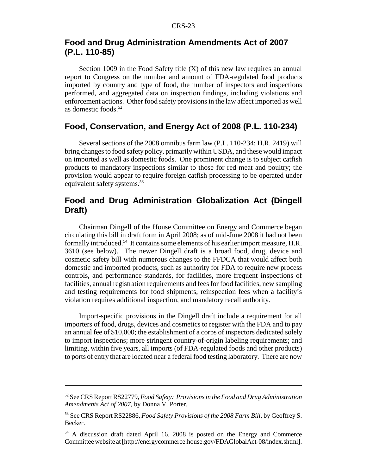#### **Food and Drug Administration Amendments Act of 2007 (P.L. 110-85)**

Section 1009 in the Food Safety title  $(X)$  of this new law requires an annual report to Congress on the number and amount of FDA-regulated food products imported by country and type of food, the number of inspectors and inspections performed, and aggregated data on inspection findings, including violations and enforcement actions. Other food safety provisions in the law affect imported as well as domestic foods.<sup>52</sup>

#### **Food, Conservation, and Energy Act of 2008 (P.L. 110-234)**

Several sections of the 2008 omnibus farm law (P.L. 110-234; H.R. 2419) will bring changes to food safety policy, primarily within USDA, and these would impact on imported as well as domestic foods. One prominent change is to subject catfish products to mandatory inspections similar to those for red meat and poultry; the provision would appear to require foreign catfish processing to be operated under equivalent safety systems.<sup>53</sup>

## **Food and Drug Administration Globalization Act (Dingell Draft)**

Chairman Dingell of the House Committee on Energy and Commerce began circulating this bill in draft form in April 2008; as of mid-June 2008 it had not been formally introduced.<sup>54</sup> It contains some elements of his earlier import measure, H.R. 3610 (see below). The newer Dingell draft is a broad food, drug, device and cosmetic safety bill with numerous changes to the FFDCA that would affect both domestic and imported products, such as authority for FDA to require new process controls, and performance standards, for facilities, more frequent inspections of facilities, annual registration requirements and fees for food facilities, new sampling and testing requirements for food shipments, reinspection fees when a facility's violation requires additional inspection, and mandatory recall authority.

Import-specific provisions in the Dingell draft include a requirement for all importers of food, drugs, devices and cosmetics to register with the FDA and to pay an annual fee of \$10,000; the establishment of a corps of inspectors dedicated solely to import inspections; more stringent country-of-origin labeling requirements; and limiting, within five years, all imports (of FDA-regulated foods and other products) to ports of entry that are located near a federal food testing laboratory. There are now

<sup>52</sup> See CRS Report RS22779, *Food Safety: Provisions in the Food and Drug Administration Amendments Act of 2007*, by Donna V. Porter.

<sup>53</sup> See CRS Report RS22886, *Food Safety Provisions of the 2008 Farm Bill*, by Geoffrey S. Becker.

<sup>54</sup> A discussion draft dated April 16, 2008 is posted on the Energy and Commerce Committee website at [http://energycommerce.house.gov/FDAGlobalAct-08/index.shtml].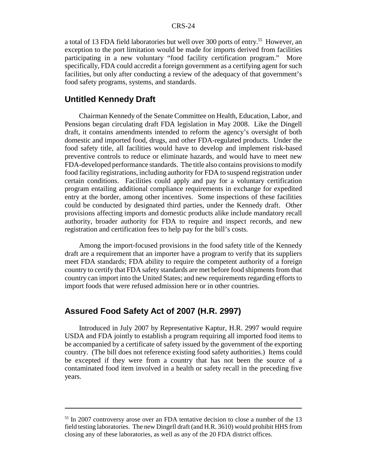a total of 13 FDA field laboratories but well over 300 ports of entry.<sup>55</sup> However, an exception to the port limitation would be made for imports derived from facilities participating in a new voluntary "food facility certification program." More specifically, FDA could accredit a foreign government as a certifying agent for such facilities, but only after conducting a review of the adequacy of that government's food safety programs, systems, and standards.

#### **Untitled Kennedy Draft**

Chairman Kennedy of the Senate Committee on Health, Education, Labor, and Pensions began circulating draft FDA legislation in May 2008. Like the Dingell draft, it contains amendments intended to reform the agency's oversight of both domestic and imported food, drugs, and other FDA-regulated products. Under the food safety title, all facilities would have to develop and implement risk-based preventive controls to reduce or eliminate hazards, and would have to meet new FDA-developed performance standards. The title also contains provisions to modify food facility registrations, including authority for FDA to suspend registration under certain conditions. Facilities could apply and pay for a voluntary certification program entailing additional compliance requirements in exchange for expedited entry at the border, among other incentives. Some inspections of these facilities could be conducted by designated third parties, under the Kennedy draft. Other provisions affecting imports and domestic products alike include mandatory recall authority, broader authority for FDA to require and inspect records, and new registration and certification fees to help pay for the bill's costs.

Among the import-focused provisions in the food safety title of the Kennedy draft are a requirement that an importer have a program to verify that its suppliers meet FDA standards; FDA ability to require the competent authority of a foreign country to certify that FDA safety standards are met before food shipments from that country can import into the United States; and new requirements regarding efforts to import foods that were refused admission here or in other countries.

#### **Assured Food Safety Act of 2007 (H.R. 2997)**

Introduced in July 2007 by Representative Kaptur, H.R. 2997 would require USDA and FDA jointly to establish a program requiring all imported food items to be accompanied by a certificate of safety issued by the government of the exporting country. (The bill does not reference existing food safety authorities.) Items could be excepted if they were from a country that has not been the source of a contaminated food item involved in a health or safety recall in the preceding five years.

<sup>&</sup>lt;sup>55</sup> In 2007 controversy arose over an FDA tentative decision to close a number of the 13 field testing laboratories. The new Dingell draft (and H.R. 3610) would prohibit HHS from closing any of these laboratories, as well as any of the 20 FDA district offices.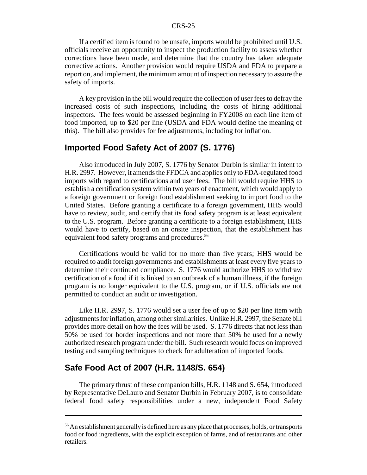If a certified item is found to be unsafe, imports would be prohibited until U.S. officials receive an opportunity to inspect the production facility to assess whether corrections have been made, and determine that the country has taken adequate corrective actions. Another provision would require USDA and FDA to prepare a report on, and implement, the minimum amount of inspection necessary to assure the safety of imports.

A key provision in the bill would require the collection of user fees to defray the increased costs of such inspections, including the costs of hiring additional inspectors. The fees would be assessed beginning in FY2008 on each line item of food imported, up to \$20 per line (USDA and FDA would define the meaning of this). The bill also provides for fee adjustments, including for inflation.

#### **Imported Food Safety Act of 2007 (S. 1776)**

Also introduced in July 2007, S. 1776 by Senator Durbin is similar in intent to H.R. 2997. However, it amends the FFDCA and applies only to FDA-regulated food imports with regard to certifications and user fees. The bill would require HHS to establish a certification system within two years of enactment, which would apply to a foreign government or foreign food establishment seeking to import food to the United States. Before granting a certificate to a foreign government, HHS would have to review, audit, and certify that its food safety program is at least equivalent to the U.S. program. Before granting a certificate to a foreign establishment, HHS would have to certify, based on an onsite inspection, that the establishment has equivalent food safety programs and procedures.<sup>56</sup>

Certifications would be valid for no more than five years; HHS would be required to audit foreign governments and establishments at least every five years to determine their continued compliance. S. 1776 would authorize HHS to withdraw certification of a food if it is linked to an outbreak of a human illness, if the foreign program is no longer equivalent to the U.S. program, or if U.S. officials are not permitted to conduct an audit or investigation.

Like H.R. 2997, S. 1776 would set a user fee of up to \$20 per line item with adjustments for inflation, among other similarities. Unlike H.R. 2997, the Senate bill provides more detail on how the fees will be used. S. 1776 directs that not less than 50% be used for border inspections and not more than 50% be used for a newly authorized research program under the bill. Such research would focus on improved testing and sampling techniques to check for adulteration of imported foods.

#### **Safe Food Act of 2007 (H.R. 1148/S. 654)**

The primary thrust of these companion bills, H.R. 1148 and S. 654, introduced by Representative DeLauro and Senator Durbin in February 2007, is to consolidate federal food safety responsibilities under a new, independent Food Safety

<sup>&</sup>lt;sup>56</sup> An establishment generally is defined here as any place that processes, holds, or transports food or food ingredients, with the explicit exception of farms, and of restaurants and other retailers.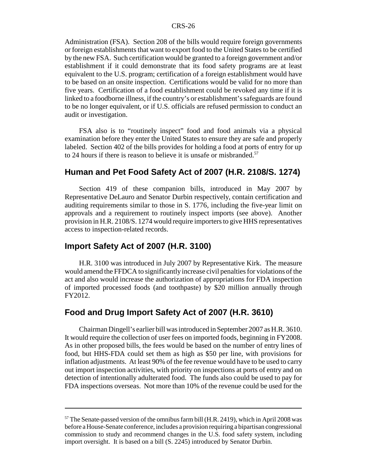Administration (FSA). Section 208 of the bills would require foreign governments or foreign establishments that want to export food to the United States to be certified by the new FSA. Such certification would be granted to a foreign government and/or establishment if it could demonstrate that its food safety programs are at least equivalent to the U.S. program; certification of a foreign establishment would have to be based on an onsite inspection. Certifications would be valid for no more than five years. Certification of a food establishment could be revoked any time if it is linked to a foodborne illness, if the country's or establishment's safeguards are found to be no longer equivalent, or if U.S. officials are refused permission to conduct an audit or investigation.

FSA also is to "routinely inspect" food and food animals via a physical examination before they enter the United States to ensure they are safe and properly labeled. Section 402 of the bills provides for holding a food at ports of entry for up to 24 hours if there is reason to believe it is unsafe or misbranded.<sup>57</sup>

#### **Human and Pet Food Safety Act of 2007 (H.R. 2108/S. 1274)**

Section 419 of these companion bills, introduced in May 2007 by Representative DeLauro and Senator Durbin respectively, contain certification and auditing requirements similar to those in S. 1776, including the five-year limit on approvals and a requirement to routinely inspect imports (see above). Another provision in H.R. 2108/S. 1274 would require importers to give HHS representatives access to inspection-related records.

#### **Import Safety Act of 2007 (H.R. 3100)**

H.R. 3100 was introduced in July 2007 by Representative Kirk. The measure would amend the FFDCA to significantly increase civil penalties for violations of the act and also would increase the authorization of appropriations for FDA inspection of imported processed foods (and toothpaste) by \$20 million annually through FY2012.

## **Food and Drug Import Safety Act of 2007 (H.R. 3610)**

Chairman Dingell's earlier bill was introduced in September 2007 as H.R. 3610. It would require the collection of user fees on imported foods, beginning in FY2008. As in other proposed bills, the fees would be based on the number of entry lines of food, but HHS-FDA could set them as high as \$50 per line, with provisions for inflation adjustments. At least 90% of the fee revenue would have to be used to carry out import inspection activities, with priority on inspections at ports of entry and on detection of intentionally adulterated food. The funds also could be used to pay for FDA inspections overseas. Not more than 10% of the revenue could be used for the

 $57$  The Senate-passed version of the omnibus farm bill (H.R. 2419), which in April 2008 was before a House-Senate conference, includes a provision requiring a bipartisan congressional commission to study and recommend changes in the U.S. food safety system, including import oversight. It is based on a bill (S. 2245) introduced by Senator Durbin.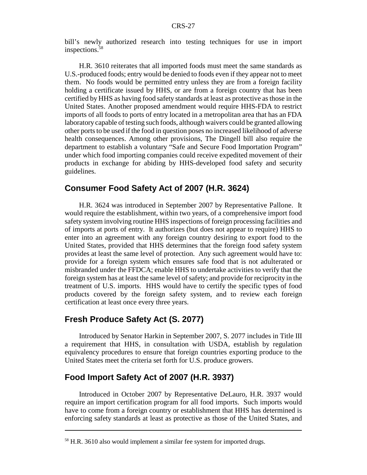bill's newly authorized research into testing techniques for use in import inspections.58

H.R. 3610 reiterates that all imported foods must meet the same standards as U.S.-produced foods; entry would be denied to foods even if they appear not to meet them. No foods would be permitted entry unless they are from a foreign facility holding a certificate issued by HHS, or are from a foreign country that has been certified by HHS as having food safety standards at least as protective as those in the United States. Another proposed amendment would require HHS-FDA to restrict imports of all foods to ports of entry located in a metropolitan area that has an FDA laboratory capable of testing such foods, although waivers could be granted allowing other ports to be used if the food in question poses no increased likelihood of adverse health consequences. Among other provisions, The Dingell bill also require the department to establish a voluntary "Safe and Secure Food Importation Program" under which food importing companies could receive expedited movement of their products in exchange for abiding by HHS-developed food safety and security guidelines.

#### **Consumer Food Safety Act of 2007 (H.R. 3624)**

H.R. 3624 was introduced in September 2007 by Representative Pallone. It would require the establishment, within two years, of a comprehensive import food safety system involving routine HHS inspections of foreign processing facilities and of imports at ports of entry. It authorizes (but does not appear to require) HHS to enter into an agreement with any foreign country desiring to export food to the United States, provided that HHS determines that the foreign food safety system provides at least the same level of protection. Any such agreement would have to: provide for a foreign system which ensures safe food that is not adulterated or misbranded under the FFDCA; enable HHS to undertake activities to verify that the foreign system has at least the same level of safety; and provide for reciprocity in the treatment of U.S. imports. HHS would have to certify the specific types of food products covered by the foreign safety system, and to review each foreign certification at least once every three years.

#### **Fresh Produce Safety Act (S. 2077)**

Introduced by Senator Harkin in September 2007, S. 2077 includes in Title III a requirement that HHS, in consultation with USDA, establish by regulation equivalency procedures to ensure that foreign countries exporting produce to the United States meet the criteria set forth for U.S. produce growers.

#### **Food Import Safety Act of 2007 (H.R. 3937)**

Introduced in October 2007 by Representative DeLauro, H.R. 3937 would require an import certification program for all food imports. Such imports would have to come from a foreign country or establishment that HHS has determined is enforcing safety standards at least as protective as those of the United States, and

<sup>&</sup>lt;sup>58</sup> H.R. 3610 also would implement a similar fee system for imported drugs.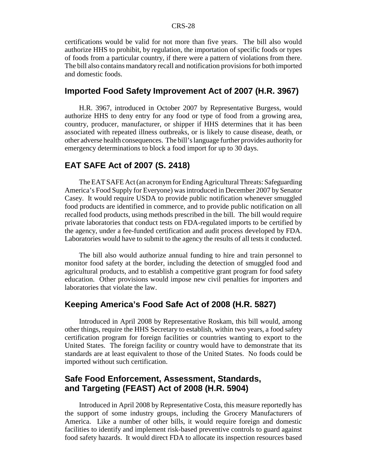certifications would be valid for not more than five years. The bill also would authorize HHS to prohibit, by regulation, the importation of specific foods or types of foods from a particular country, if there were a pattern of violations from there. The bill also contains mandatory recall and notification provisions for both imported and domestic foods.

#### **Imported Food Safety Improvement Act of 2007 (H.R. 3967)**

H.R. 3967, introduced in October 2007 by Representative Burgess, would authorize HHS to deny entry for any food or type of food from a growing area, country, producer, manufacturer, or shipper if HHS determines that it has been associated with repeated illness outbreaks, or is likely to cause disease, death, or other adverse health consequences. The bill's language further provides authority for emergency determinations to block a food import for up to 30 days.

#### **EAT SAFE Act of 2007 (S. 2418)**

The EAT SAFE Act (an acronym for Ending Agricultural Threats: Safeguarding America's Food Supply for Everyone) was introduced in December 2007 by Senator Casey. It would require USDA to provide public notification whenever smuggled food products are identified in commerce, and to provide public notification on all recalled food products, using methods prescribed in the bill. The bill would require private laboratories that conduct tests on FDA-regulated imports to be certified by the agency, under a fee-funded certification and audit process developed by FDA. Laboratories would have to submit to the agency the results of all tests it conducted.

The bill also would authorize annual funding to hire and train personnel to monitor food safety at the border, including the detection of smuggled food and agricultural products, and to establish a competitive grant program for food safety education. Other provisions would impose new civil penalties for importers and laboratories that violate the law.

## **Keeping America's Food Safe Act of 2008 (H.R. 5827)**

Introduced in April 2008 by Representative Roskam, this bill would, among other things, require the HHS Secretary to establish, within two years, a food safety certification program for foreign facilities or countries wanting to export to the United States. The foreign facility or country would have to demonstrate that its standards are at least equivalent to those of the United States. No foods could be imported without such certification.

## **Safe Food Enforcement, Assessment, Standards, and Targeting (FEAST) Act of 2008 (H.R. 5904)**

Introduced in April 2008 by Representative Costa, this measure reportedly has the support of some industry groups, including the Grocery Manufacturers of America. Like a number of other bills, it would require foreign and domestic facilities to identify and implement risk-based preventive controls to guard against food safety hazards. It would direct FDA to allocate its inspection resources based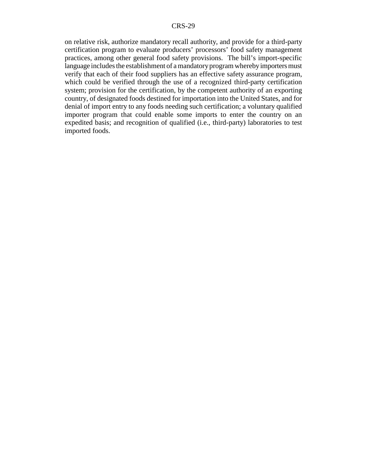on relative risk, authorize mandatory recall authority, and provide for a third-party certification program to evaluate producers' processors' food safety management practices, among other general food safety provisions. The bill's import-specific language includes the establishment of a mandatory program whereby importers must verify that each of their food suppliers has an effective safety assurance program, which could be verified through the use of a recognized third-party certification system; provision for the certification, by the competent authority of an exporting country, of designated foods destined for importation into the United States, and for denial of import entry to any foods needing such certification; a voluntary qualified importer program that could enable some imports to enter the country on an expedited basis; and recognition of qualified (i.e., third-party) laboratories to test imported foods.